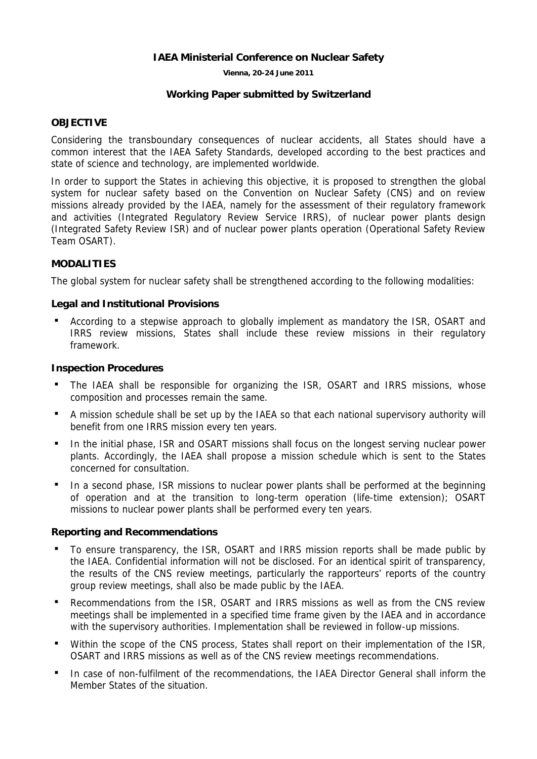## **IAEA Ministerial Conference on Nuclear Safety**

**Vienna, 20-24 June 2011** 

### **Working Paper submitted by Switzerland**

## **OBJECTIVE**

Considering the transboundary consequences of nuclear accidents, all States should have a common interest that the IAEA Safety Standards, developed according to the best practices and state of science and technology, are implemented worldwide.

In order to support the States in achieving this objective, it is proposed to strengthen the global system for nuclear safety based on the Convention on Nuclear Safety (CNS) and on review missions already provided by the IAEA, namely for the assessment of their regulatory framework and activities (Integrated Regulatory Review Service IRRS), of nuclear power plants design (Integrated Safety Review ISR) and of nuclear power plants operation (Operational Safety Review Team OSART).

## **MODALITIES**

The global system for nuclear safety shall be strengthened according to the following modalities:

### **Legal and Institutional Provisions**

 According to a stepwise approach to globally implement as mandatory the ISR, OSART and IRRS review missions, States shall include these review missions in their regulatory framework.

#### **Inspection Procedures**

- The IAEA shall be responsible for organizing the ISR, OSART and IRRS missions, whose composition and processes remain the same.
- A mission schedule shall be set up by the IAEA so that each national supervisory authority will benefit from one IRRS mission every ten years.
- In the initial phase, ISR and OSART missions shall focus on the longest serving nuclear power plants. Accordingly, the IAEA shall propose a mission schedule which is sent to the States concerned for consultation.
- In a second phase, ISR missions to nuclear power plants shall be performed at the beginning of operation and at the transition to long-term operation (life-time extension); OSART missions to nuclear power plants shall be performed every ten years.

## **Reporting and Recommendations**

- To ensure transparency, the ISR, OSART and IRRS mission reports shall be made public by the IAEA. Confidential information will not be disclosed. For an identical spirit of transparency, the results of the CNS review meetings, particularly the rapporteurs' reports of the country group review meetings, shall also be made public by the IAEA.
- Recommendations from the ISR, OSART and IRRS missions as well as from the CNS review meetings shall be implemented in a specified time frame given by the IAEA and in accordance with the supervisory authorities. Implementation shall be reviewed in follow-up missions.
- Within the scope of the CNS process, States shall report on their implementation of the ISR, OSART and IRRS missions as well as of the CNS review meetings recommendations.
- In case of non-fulfilment of the recommendations, the IAEA Director General shall inform the Member States of the situation.